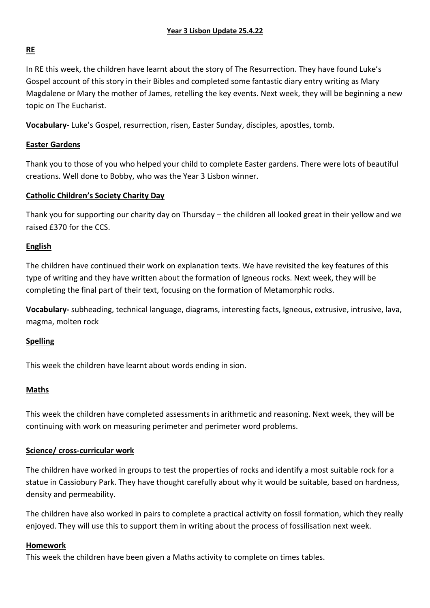# **RE**

In RE this week, the children have learnt about the story of The Resurrection. They have found Luke's Gospel account of this story in their Bibles and completed some fantastic diary entry writing as Mary Magdalene or Mary the mother of James, retelling the key events. Next week, they will be beginning a new topic on The Eucharist.

**Vocabulary**- Luke's Gospel, resurrection, risen, Easter Sunday, disciples, apostles, tomb.

### **Easter Gardens**

Thank you to those of you who helped your child to complete Easter gardens. There were lots of beautiful creations. Well done to Bobby, who was the Year 3 Lisbon winner.

### **Catholic Children's Society Charity Day**

Thank you for supporting our charity day on Thursday – the children all looked great in their yellow and we raised £370 for the CCS.

### **English**

The children have continued their work on explanation texts. We have revisited the key features of this type of writing and they have written about the formation of Igneous rocks. Next week, they will be completing the final part of their text, focusing on the formation of Metamorphic rocks.

**Vocabulary-** subheading, technical language, diagrams, interesting facts, Igneous, extrusive, intrusive, lava, magma, molten rock

### **Spelling**

This week the children have learnt about words ending in sion.

#### **Maths**

This week the children have completed assessments in arithmetic and reasoning. Next week, they will be continuing with work on measuring perimeter and perimeter word problems.

#### **Science/ cross-curricular work**

The children have worked in groups to test the properties of rocks and identify a most suitable rock for a statue in Cassiobury Park. They have thought carefully about why it would be suitable, based on hardness, density and permeability.

The children have also worked in pairs to complete a practical activity on fossil formation, which they really enjoyed. They will use this to support them in writing about the process of fossilisation next week.

#### **Homework**

This week the children have been given a Maths activity to complete on times tables.